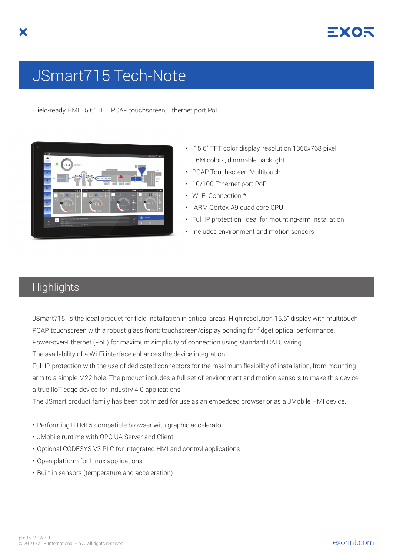

## JSmart715 Tech-Note

F ield-ready HMI 15.6" TFT, PCAP touchscreen, Ethernet port PoE



- 15.6" TFT color display, resolution 1366x768 pixel, 16M colors, dimmable backlight
- PCAP Touchscreen Multitouch
- 10/100 Ethernet port PoE
- Wi-Fi Connection \*
- ARM Cortex-A9 quad core CPU
- Full IP protection; ideal for mounting-arm installation
- Includes environment and motion sensors

## **Highlights**

JSmart715 is the ideal product for field installation in critical areas. High-resolution 15.6" display with multitouch PCAP touchscreen with a robust glass front; touchscreen/display bonding for fidget optical performance.

Power-over-Ethernet (PoE) for maximum simplicity of connection using standard CAT5 wiring.

The availability of a Wi-Fi interface enhances the device integration.

Full IP protection with the use of dedicated connectors for the maximum flexibility of installation, from mounting arm to a simple M22 hole. The product includes a full set of environment and motion sensors to make this device a true IIoT edge device for Industry 4.0 applications.

The JSmart product family has been optimized for use as an embedded browser or as a JMobile HMI device.

- Performing HTML5-compatible browser with graphic accelerator
- JMobile runtime with OPC UA Server and Client
- Optional CODESYS V3 PLC for integrated HMI and control applications
- Open platform for Linux applications
- Built-in sensors (temperature and acceleration)